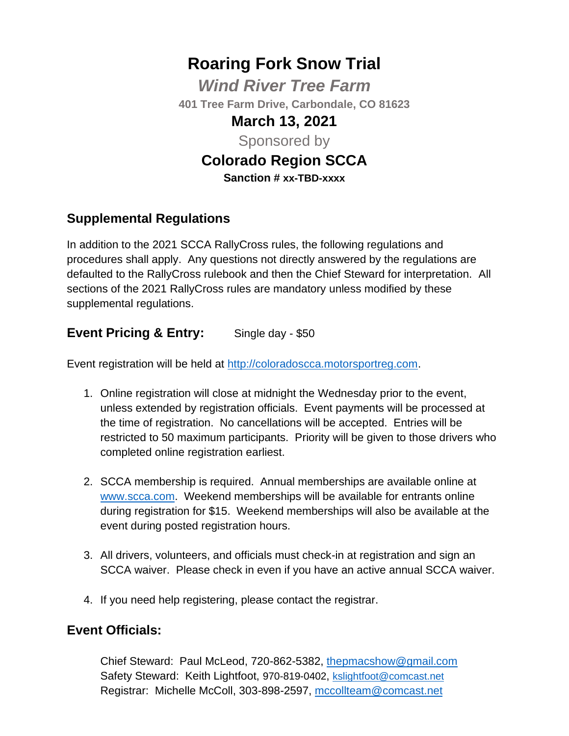# **Roaring Fork Snow Trial**

*Wind River Tree Farm* **401 Tree Farm Drive, Carbondale, CO 81623**

## **March 13, 2021**

Sponsored by

## **Colorado Region SCCA**

**Sanction # xx-TBD-xxxx**

#### **Supplemental Regulations**

In addition to the 2021 SCCA RallyCross rules, the following regulations and procedures shall apply. Any questions not directly answered by the regulations are defaulted to the RallyCross rulebook and then the Chief Steward for interpretation. All sections of the 2021 RallyCross rules are mandatory unless modified by these supplemental regulations.

#### **Event Pricing & Entry:** Single day - \$50

Event registration will be held at [http://coloradoscca.motorsportreg.com.](http://coloradoscca.motorsportreg.com/)

- 1. Online registration will close at midnight the Wednesday prior to the event, unless extended by registration officials. Event payments will be processed at the time of registration. No cancellations will be accepted. Entries will be restricted to 50 maximum participants. Priority will be given to those drivers who completed online registration earliest.
- 2. SCCA membership is required. Annual memberships are available online at [www.scca.com.](http://www.scca.com/) Weekend memberships will be available for entrants online during registration for \$15. Weekend memberships will also be available at the event during posted registration hours.
- 3. All drivers, volunteers, and officials must check-in at registration and sign an SCCA waiver. Please check in even if you have an active annual SCCA waiver.
- 4. If you need help registering, please contact the registrar.

#### **Event Officials:**

Chief Steward: Paul McLeod, 720-862-5382, [thepmacshow@gmail.com](mailto:thepmacshow@gmail.com) Safety Steward: Keith Lightfoot, 970-819-0402, [kslightfoot@comcast.net](mailto:kslightfoot@comcast.net) Registrar: Michelle McColl, 303-898-2597, [mccollteam@comcast.net](mailto:mccollteam@comcast.net)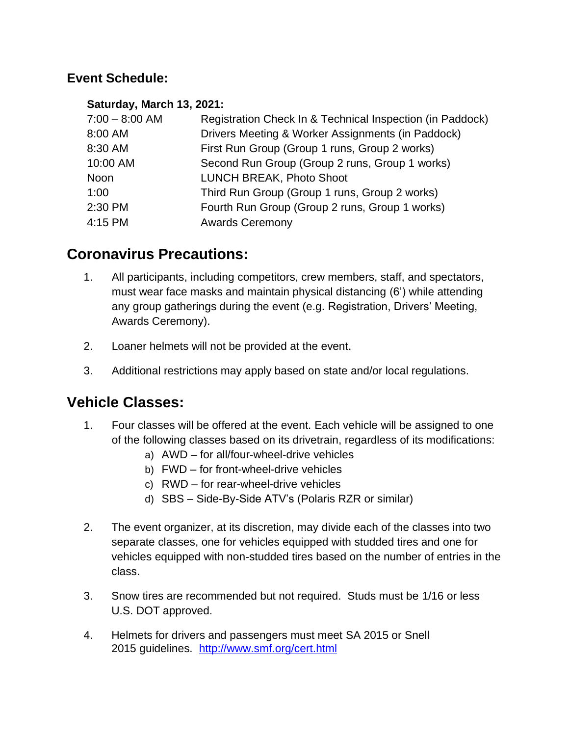#### **Event Schedule:**

#### **Saturday, March 13, 2021:**

| $7:00 - 8:00$ AM | Registration Check In & Technical Inspection (in Paddock) |
|------------------|-----------------------------------------------------------|
| 8:00 AM          | Drivers Meeting & Worker Assignments (in Paddock)         |
| 8:30 AM          | First Run Group (Group 1 runs, Group 2 works)             |
| 10:00 AM         | Second Run Group (Group 2 runs, Group 1 works)            |
| Noon             | LUNCH BREAK, Photo Shoot                                  |
| 1:00             | Third Run Group (Group 1 runs, Group 2 works)             |
| 2:30 PM          | Fourth Run Group (Group 2 runs, Group 1 works)            |
| 4:15 PM          | <b>Awards Ceremony</b>                                    |

## **Coronavirus Precautions:**

- 1. All participants, including competitors, crew members, staff, and spectators, must wear face masks and maintain physical distancing (6') while attending any group gatherings during the event (e.g. Registration, Drivers' Meeting, Awards Ceremony).
- 2. Loaner helmets will not be provided at the event.
- 3. Additional restrictions may apply based on state and/or local regulations.

## **Vehicle Classes:**

- 1. Four classes will be offered at the event. Each vehicle will be assigned to one of the following classes based on its drivetrain, regardless of its modifications:
	- a) AWD for all/four-wheel-drive vehicles
	- b) FWD for front-wheel-drive vehicles
	- c) RWD for rear-wheel-drive vehicles
	- d) SBS Side-By-Side ATV's (Polaris RZR or similar)
- 2. The event organizer, at its discretion, may divide each of the classes into two separate classes, one for vehicles equipped with studded tires and one for vehicles equipped with non-studded tires based on the number of entries in the class.
- 3. Snow tires are recommended but not required. Studs must be 1/16 or less U.S. DOT approved.
- 4. Helmets for drivers and passengers must meet SA 2015 or Snell 2015 guidelines. <http://www.smf.org/cert.html>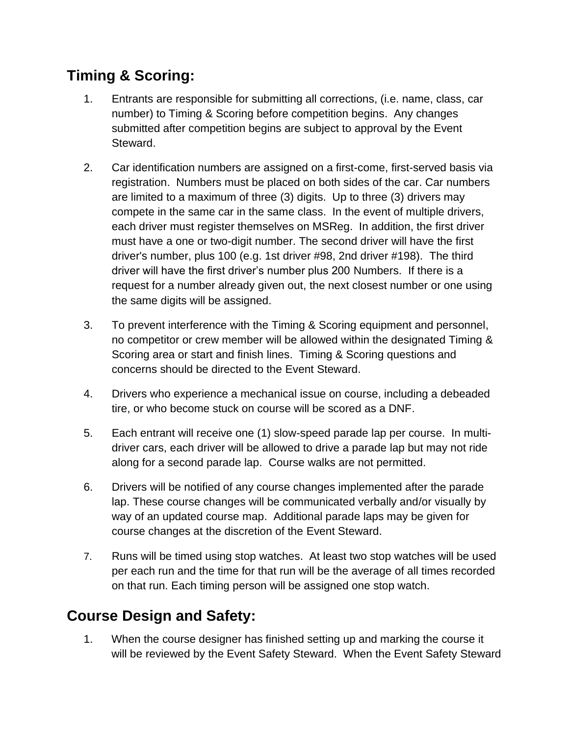# **Timing & Scoring:**

- 1. Entrants are responsible for submitting all corrections, (i.e. name, class, car number) to Timing & Scoring before competition begins. Any changes submitted after competition begins are subject to approval by the Event Steward.
- 2. Car identification numbers are assigned on a first-come, first-served basis via registration. Numbers must be placed on both sides of the car. Car numbers are limited to a maximum of three (3) digits. Up to three (3) drivers may compete in the same car in the same class. In the event of multiple drivers, each driver must register themselves on MSReg. In addition, the first driver must have a one or two-digit number. The second driver will have the first driver's number, plus 100 (e.g. 1st driver #98, 2nd driver #198). The third driver will have the first driver's number plus 200 Numbers. If there is a request for a number already given out, the next closest number or one using the same digits will be assigned.
- 3. To prevent interference with the Timing & Scoring equipment and personnel, no competitor or crew member will be allowed within the designated Timing & Scoring area or start and finish lines. Timing & Scoring questions and concerns should be directed to the Event Steward.
- 4. Drivers who experience a mechanical issue on course, including a debeaded tire, or who become stuck on course will be scored as a DNF.
- 5. Each entrant will receive one (1) slow-speed parade lap per course. In multidriver cars, each driver will be allowed to drive a parade lap but may not ride along for a second parade lap. Course walks are not permitted.
- 6. Drivers will be notified of any course changes implemented after the parade lap. These course changes will be communicated verbally and/or visually by way of an updated course map. Additional parade laps may be given for course changes at the discretion of the Event Steward.
- 7. Runs will be timed using stop watches. At least two stop watches will be used per each run and the time for that run will be the average of all times recorded on that run. Each timing person will be assigned one stop watch.

# **Course Design and Safety:**

1. When the course designer has finished setting up and marking the course it will be reviewed by the Event Safety Steward. When the Event Safety Steward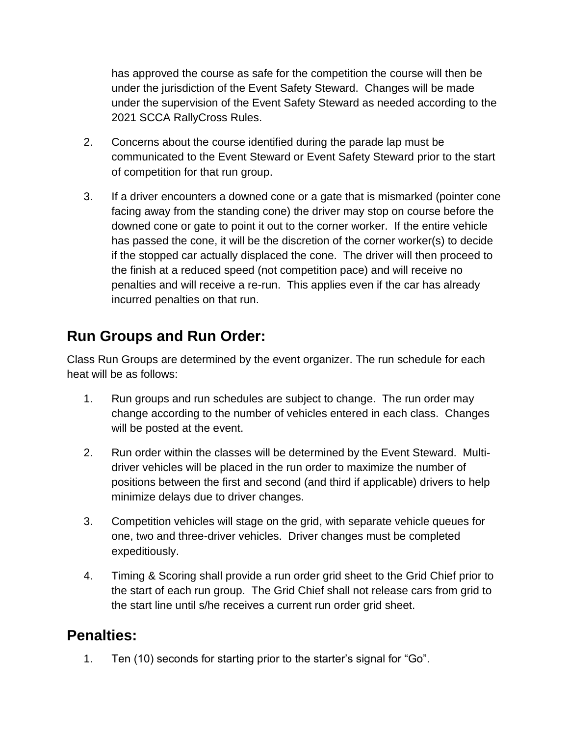has approved the course as safe for the competition the course will then be under the jurisdiction of the Event Safety Steward. Changes will be made under the supervision of the Event Safety Steward as needed according to the 2021 SCCA RallyCross Rules.

- 2. Concerns about the course identified during the parade lap must be communicated to the Event Steward or Event Safety Steward prior to the start of competition for that run group.
- 3. If a driver encounters a downed cone or a gate that is mismarked (pointer cone facing away from the standing cone) the driver may stop on course before the downed cone or gate to point it out to the corner worker. If the entire vehicle has passed the cone, it will be the discretion of the corner worker(s) to decide if the stopped car actually displaced the cone. The driver will then proceed to the finish at a reduced speed (not competition pace) and will receive no penalties and will receive a re-run. This applies even if the car has already incurred penalties on that run.

# **Run Groups and Run Order:**

Class Run Groups are determined by the event organizer. The run schedule for each heat will be as follows:

- 1. Run groups and run schedules are subject to change. The run order may change according to the number of vehicles entered in each class. Changes will be posted at the event.
- 2. Run order within the classes will be determined by the Event Steward. Multidriver vehicles will be placed in the run order to maximize the number of positions between the first and second (and third if applicable) drivers to help minimize delays due to driver changes.
- 3. Competition vehicles will stage on the grid, with separate vehicle queues for one, two and three-driver vehicles. Driver changes must be completed expeditiously.
- 4. Timing & Scoring shall provide a run order grid sheet to the Grid Chief prior to the start of each run group. The Grid Chief shall not release cars from grid to the start line until s/he receives a current run order grid sheet.

## **Penalties:**

1. Ten (10) seconds for starting prior to the starter's signal for "Go".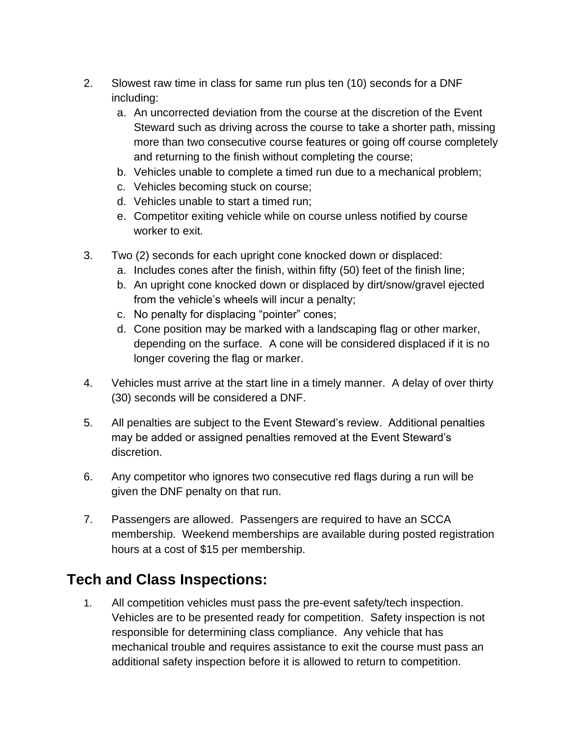- 2. Slowest raw time in class for same run plus ten (10) seconds for a DNF including:
	- a. An uncorrected deviation from the course at the discretion of the Event Steward such as driving across the course to take a shorter path, missing more than two consecutive course features or going off course completely and returning to the finish without completing the course;
	- b. Vehicles unable to complete a timed run due to a mechanical problem;
	- c. Vehicles becoming stuck on course;
	- d. Vehicles unable to start a timed run;
	- e. Competitor exiting vehicle while on course unless notified by course worker to exit.
- 3. Two (2) seconds for each upright cone knocked down or displaced:
	- a. Includes cones after the finish, within fifty (50) feet of the finish line;
	- b. An upright cone knocked down or displaced by dirt/snow/gravel ejected from the vehicle's wheels will incur a penalty;
	- c. No penalty for displacing "pointer" cones;
	- d. Cone position may be marked with a landscaping flag or other marker, depending on the surface. A cone will be considered displaced if it is no longer covering the flag or marker.
- 4. Vehicles must arrive at the start line in a timely manner. A delay of over thirty (30) seconds will be considered a DNF.
- 5. All penalties are subject to the Event Steward's review. Additional penalties may be added or assigned penalties removed at the Event Steward's discretion.
- 6. Any competitor who ignores two consecutive red flags during a run will be given the DNF penalty on that run.
- 7. Passengers are allowed. Passengers are required to have an SCCA membership. Weekend memberships are available during posted registration hours at a cost of \$15 per membership.

# **Tech and Class Inspections:**

1. All competition vehicles must pass the pre-event safety/tech inspection. Vehicles are to be presented ready for competition. Safety inspection is not responsible for determining class compliance. Any vehicle that has mechanical trouble and requires assistance to exit the course must pass an additional safety inspection before it is allowed to return to competition.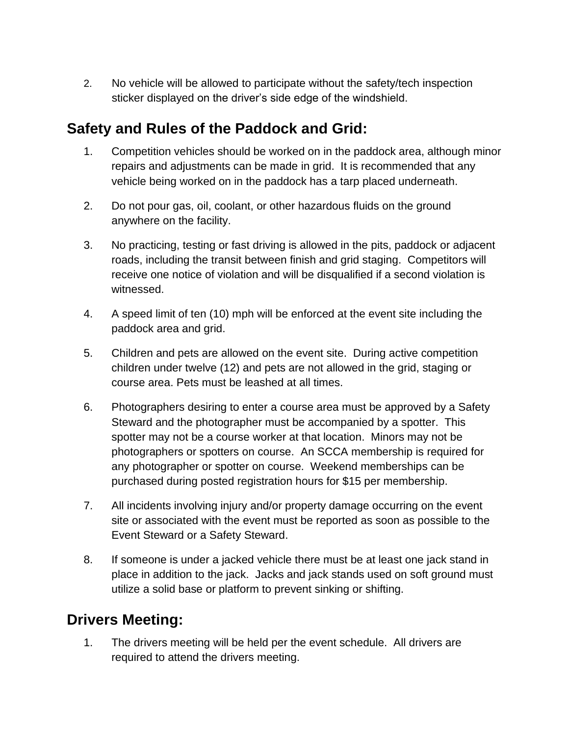2. No vehicle will be allowed to participate without the safety/tech inspection sticker displayed on the driver's side edge of the windshield.

## **Safety and Rules of the Paddock and Grid:**

- 1. Competition vehicles should be worked on in the paddock area, although minor repairs and adjustments can be made in grid. It is recommended that any vehicle being worked on in the paddock has a tarp placed underneath.
- 2. Do not pour gas, oil, coolant, or other hazardous fluids on the ground anywhere on the facility.
- 3. No practicing, testing or fast driving is allowed in the pits, paddock or adjacent roads, including the transit between finish and grid staging. Competitors will receive one notice of violation and will be disqualified if a second violation is witnessed.
- 4. A speed limit of ten (10) mph will be enforced at the event site including the paddock area and grid.
- 5. Children and pets are allowed on the event site. During active competition children under twelve (12) and pets are not allowed in the grid, staging or course area. Pets must be leashed at all times.
- 6. Photographers desiring to enter a course area must be approved by a Safety Steward and the photographer must be accompanied by a spotter. This spotter may not be a course worker at that location. Minors may not be photographers or spotters on course. An SCCA membership is required for any photographer or spotter on course. Weekend memberships can be purchased during posted registration hours for \$15 per membership.
- 7. All incidents involving injury and/or property damage occurring on the event site or associated with the event must be reported as soon as possible to the Event Steward or a Safety Steward.
- 8. If someone is under a jacked vehicle there must be at least one jack stand in place in addition to the jack. Jacks and jack stands used on soft ground must utilize a solid base or platform to prevent sinking or shifting.

## **Drivers Meeting:**

1. The drivers meeting will be held per the event schedule. All drivers are required to attend the drivers meeting.